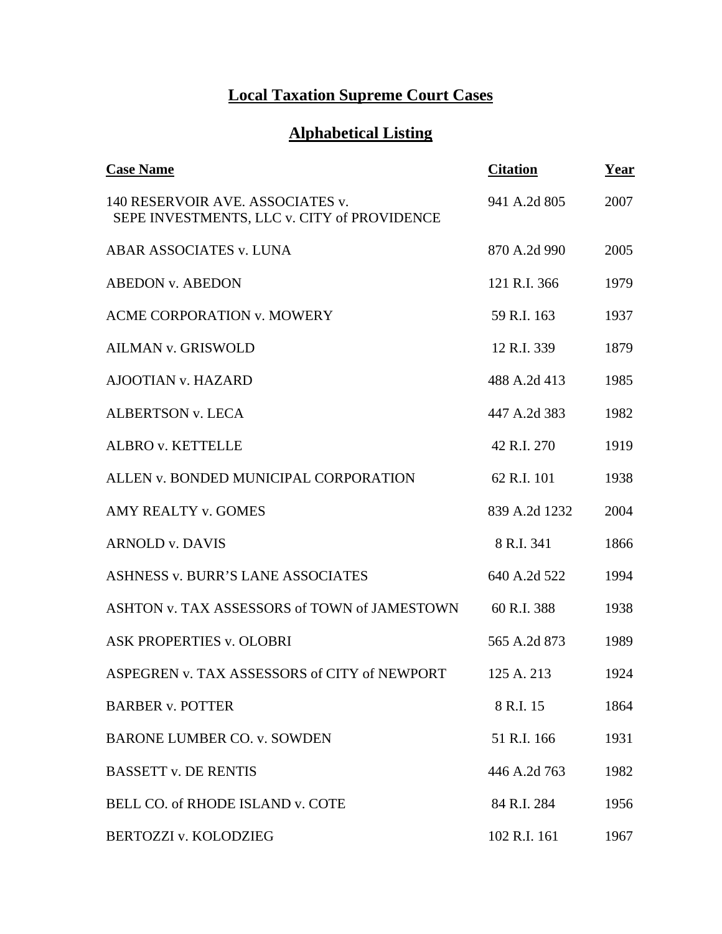## **Local Taxation Supreme Court Cases**

## **Alphabetical Listing**

| <b>Case Name</b>                                                                | <b>Citation</b> | Year |
|---------------------------------------------------------------------------------|-----------------|------|
| 140 RESERVOIR AVE. ASSOCIATES v.<br>SEPE INVESTMENTS, LLC v. CITY of PROVIDENCE | 941 A.2d 805    | 2007 |
| ABAR ASSOCIATES v. LUNA                                                         | 870 A.2d 990    | 2005 |
| <b>ABEDON v. ABEDON</b>                                                         | 121 R.I. 366    | 1979 |
| <b>ACME CORPORATION v. MOWERY</b>                                               | 59 R.I. 163     | 1937 |
| <b>AILMAN v. GRISWOLD</b>                                                       | 12 R.I. 339     | 1879 |
| <b>AJOOTIAN v. HAZARD</b>                                                       | 488 A.2d 413    | 1985 |
| <b>ALBERTSON v. LECA</b>                                                        | 447 A.2d 383    | 1982 |
| <b>ALBRO v. KETTELLE</b>                                                        | 42 R.I. 270     | 1919 |
| ALLEN v. BONDED MUNICIPAL CORPORATION                                           | 62 R.I. 101     | 1938 |
| <b>AMY REALTY v. GOMES</b>                                                      | 839 A.2d 1232   | 2004 |
| <b>ARNOLD v. DAVIS</b>                                                          | 8 R.I. 341      | 1866 |
| <b>ASHNESS v. BURR'S LANE ASSOCIATES</b>                                        | 640 A.2d 522    | 1994 |
| ASHTON v. TAX ASSESSORS of TOWN of JAMESTOWN                                    | 60 R.I. 388     | 1938 |
| <b>ASK PROPERTIES v. OLOBRI</b>                                                 | 565 A.2d 873    | 1989 |
| ASPEGREN v. TAX ASSESSORS of CITY of NEWPORT                                    | 125 A. 213      | 1924 |
| <b>BARBER v. POTTER</b>                                                         | 8 R.I. 15       | 1864 |
| <b>BARONE LUMBER CO. v. SOWDEN</b>                                              | 51 R.I. 166     | 1931 |
| <b>BASSETT v. DE RENTIS</b>                                                     | 446 A.2d 763    | 1982 |
| BELL CO. of RHODE ISLAND v. COTE                                                | 84 R.I. 284     | 1956 |
| BERTOZZI v. KOLODZIEG                                                           | 102 R.I. 161    | 1967 |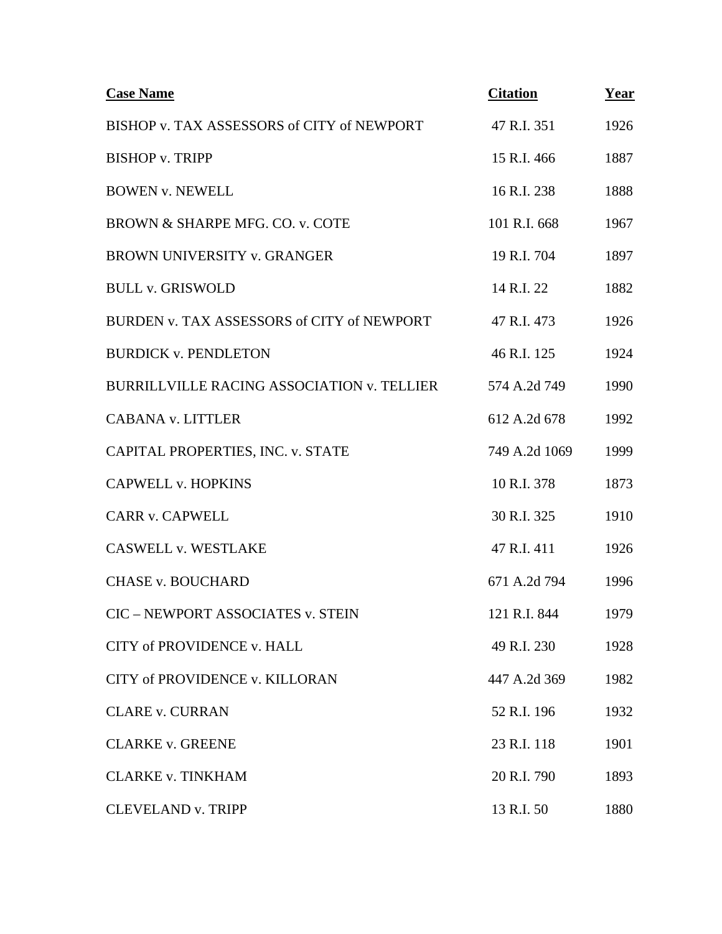| <b>Case Name</b>                                  | <b>Citation</b> | <u>Year</u> |
|---------------------------------------------------|-----------------|-------------|
| BISHOP v. TAX ASSESSORS of CITY of NEWPORT        | 47 R.I. 351     | 1926        |
| <b>BISHOP v. TRIPP</b>                            | 15 R.I. 466     | 1887        |
| <b>BOWEN v. NEWELL</b>                            | 16 R.I. 238     | 1888        |
| BROWN & SHARPE MFG. CO. v. COTE                   | 101 R.I. 668    | 1967        |
| <b>BROWN UNIVERSITY v. GRANGER</b>                | 19 R.I. 704     | 1897        |
| <b>BULL v. GRISWOLD</b>                           | 14 R.I. 22      | 1882        |
| BURDEN v. TAX ASSESSORS of CITY of NEWPORT        | 47 R.I. 473     | 1926        |
| <b>BURDICK v. PENDLETON</b>                       | 46 R.I. 125     | 1924        |
| <b>BURRILLVILLE RACING ASSOCIATION v. TELLIER</b> | 574 A.2d 749    | 1990        |
| <b>CABANA v. LITTLER</b>                          | 612 A.2d 678    | 1992        |
| CAPITAL PROPERTIES, INC. v. STATE                 | 749 A.2d 1069   | 1999        |
| <b>CAPWELL v. HOPKINS</b>                         | 10 R.I. 378     | 1873        |
| <b>CARR v. CAPWELL</b>                            | 30 R.I. 325     | 1910        |
| <b>CASWELL v. WESTLAKE</b>                        | 47 R.I. 411     | 1926        |
| <b>CHASE v. BOUCHARD</b>                          | 671 A.2d 794    | 1996        |
| CIC - NEWPORT ASSOCIATES v. STEIN                 | 121 R.I. 844    | 1979        |
| CITY of PROVIDENCE v. HALL                        | 49 R.I. 230     | 1928        |
| CITY of PROVIDENCE v. KILLORAN                    | 447 A.2d 369    | 1982        |
| <b>CLARE v. CURRAN</b>                            | 52 R.I. 196     | 1932        |
| <b>CLARKE v. GREENE</b>                           | 23 R.I. 118     | 1901        |
| <b>CLARKE v. TINKHAM</b>                          | 20 R.I. 790     | 1893        |
| <b>CLEVELAND v. TRIPP</b>                         | 13 R.I. 50      | 1880        |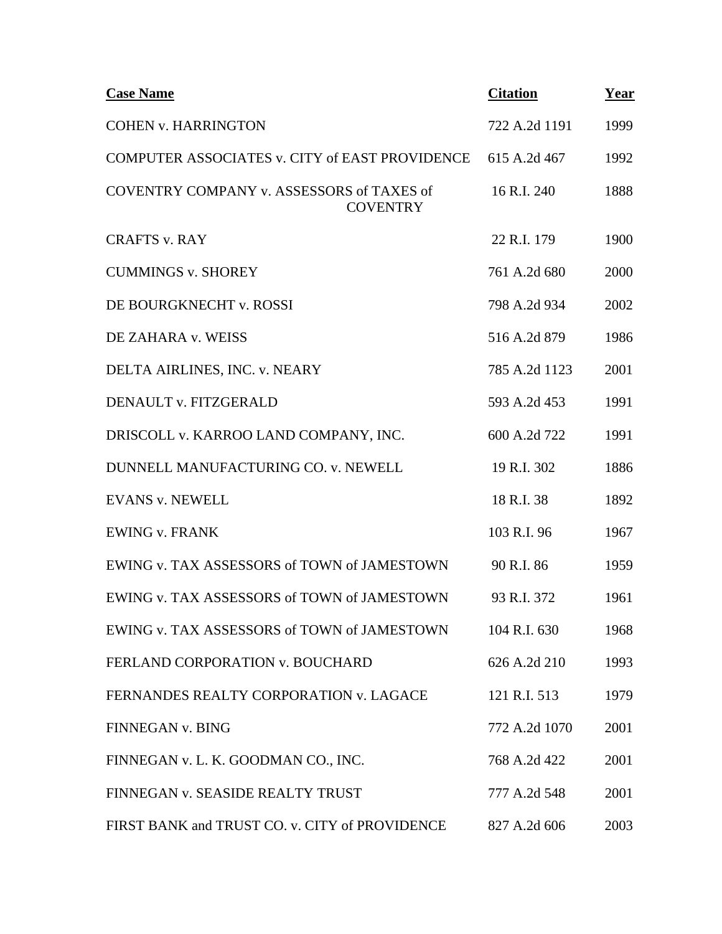| <b>Case Name</b>                                             | <b>Citation</b> | Year |
|--------------------------------------------------------------|-----------------|------|
| <b>COHEN v. HARRINGTON</b>                                   | 722 A.2d 1191   | 1999 |
| COMPUTER ASSOCIATES v. CITY of EAST PROVIDENCE               | 615 A.2d 467    | 1992 |
| COVENTRY COMPANY v. ASSESSORS of TAXES of<br><b>COVENTRY</b> | 16 R.I. 240     | 1888 |
| <b>CRAFTS v. RAY</b>                                         | 22 R.I. 179     | 1900 |
| <b>CUMMINGS v. SHOREY</b>                                    | 761 A.2d 680    | 2000 |
| DE BOURGKNECHT v. ROSSI                                      | 798 A.2d 934    | 2002 |
| DE ZAHARA v. WEISS                                           | 516 A.2d 879    | 1986 |
| DELTA AIRLINES, INC. v. NEARY                                | 785 A.2d 1123   | 2001 |
| DENAULT v. FITZGERALD                                        | 593 A.2d 453    | 1991 |
| DRISCOLL v. KARROO LAND COMPANY, INC.                        | 600 A.2d 722    | 1991 |
| DUNNELL MANUFACTURING CO. v. NEWELL                          | 19 R.I. 302     | 1886 |
| <b>EVANS v. NEWELL</b>                                       | 18 R.I. 38      | 1892 |
| <b>EWING v. FRANK</b>                                        | 103 R.I. 96     | 1967 |
| EWING v. TAX ASSESSORS of TOWN of JAMESTOWN                  | 90 R.I. 86      | 1959 |
| EWING v. TAX ASSESSORS of TOWN of JAMESTOWN                  | 93 R.I. 372     | 1961 |
| EWING v. TAX ASSESSORS of TOWN of JAMESTOWN                  | 104 R.I. 630    | 1968 |
| FERLAND CORPORATION v. BOUCHARD                              | 626 A.2d 210    | 1993 |
| FERNANDES REALTY CORPORATION v. LAGACE                       | 121 R.I. 513    | 1979 |
| FINNEGAN v. BING                                             | 772 A.2d 1070   | 2001 |
| FINNEGAN v. L. K. GOODMAN CO., INC.                          | 768 A.2d 422    | 2001 |
| FINNEGAN v. SEASIDE REALTY TRUST                             | 777 A.2d 548    | 2001 |
| FIRST BANK and TRUST CO. v. CITY of PROVIDENCE               | 827 A.2d 606    | 2003 |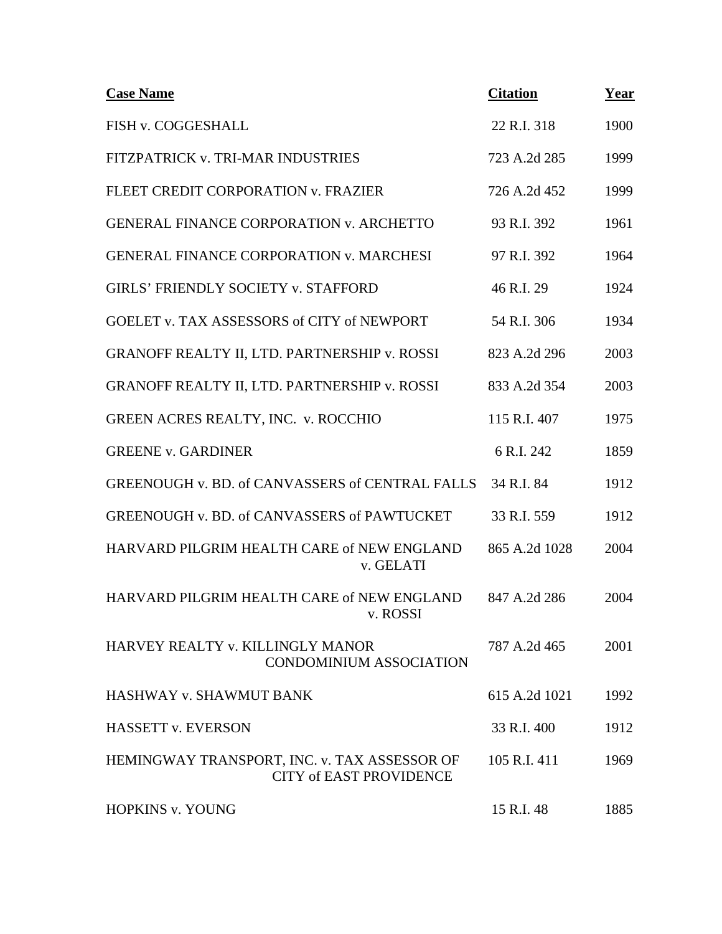| <b>Case Name</b>                                                               | <b>Citation</b> | Year |
|--------------------------------------------------------------------------------|-----------------|------|
| FISH v. COGGESHALL                                                             | 22 R.I. 318     | 1900 |
| FITZPATRICK v. TRI-MAR INDUSTRIES                                              | 723 A.2d 285    | 1999 |
| FLEET CREDIT CORPORATION v. FRAZIER                                            | 726 A.2d 452    | 1999 |
| <b>GENERAL FINANCE CORPORATION v. ARCHETTO</b>                                 | 93 R.I. 392     | 1961 |
| <b>GENERAL FINANCE CORPORATION v. MARCHESI</b>                                 | 97 R.I. 392     | 1964 |
| GIRLS' FRIENDLY SOCIETY v. STAFFORD                                            | 46 R.I. 29      | 1924 |
| GOELET v. TAX ASSESSORS of CITY of NEWPORT                                     | 54 R.I. 306     | 1934 |
| GRANOFF REALTY II, LTD. PARTNERSHIP v. ROSSI                                   | 823 A.2d 296    | 2003 |
| GRANOFF REALTY II, LTD. PARTNERSHIP v. ROSSI                                   | 833 A.2d 354    | 2003 |
| GREEN ACRES REALTY, INC. v. ROCCHIO                                            | 115 R.I. 407    | 1975 |
| <b>GREENE v. GARDINER</b>                                                      | 6 R.I. 242      | 1859 |
| GREENOUGH v. BD. of CANVASSERS of CENTRAL FALLS                                | 34 R.I. 84      | 1912 |
| <b>GREENOUGH v. BD. of CANVASSERS of PAWTUCKET</b>                             | 33 R.I. 559     | 1912 |
| HARVARD PILGRIM HEALTH CARE of NEW ENGLAND<br>v. GELATI                        | 865 A.2d 1028   | 2004 |
| HARVARD PILGRIM HEALTH CARE of NEW ENGLAND<br>v. ROSSI                         | 847 A.2d 286    | 2004 |
| HARVEY REALTY v. KILLINGLY MANOR<br><b>CONDOMINIUM ASSOCIATION</b>             | 787 A.2d 465    | 2001 |
| HASHWAY v. SHAWMUT BANK                                                        | 615 A.2d 1021   | 1992 |
| <b>HASSETT v. EVERSON</b>                                                      | 33 R.I. 400     | 1912 |
| HEMINGWAY TRANSPORT, INC. v. TAX ASSESSOR OF<br><b>CITY of EAST PROVIDENCE</b> | 105 R.I. 411    | 1969 |
| HOPKINS v. YOUNG                                                               | 15 R.I. 48      | 1885 |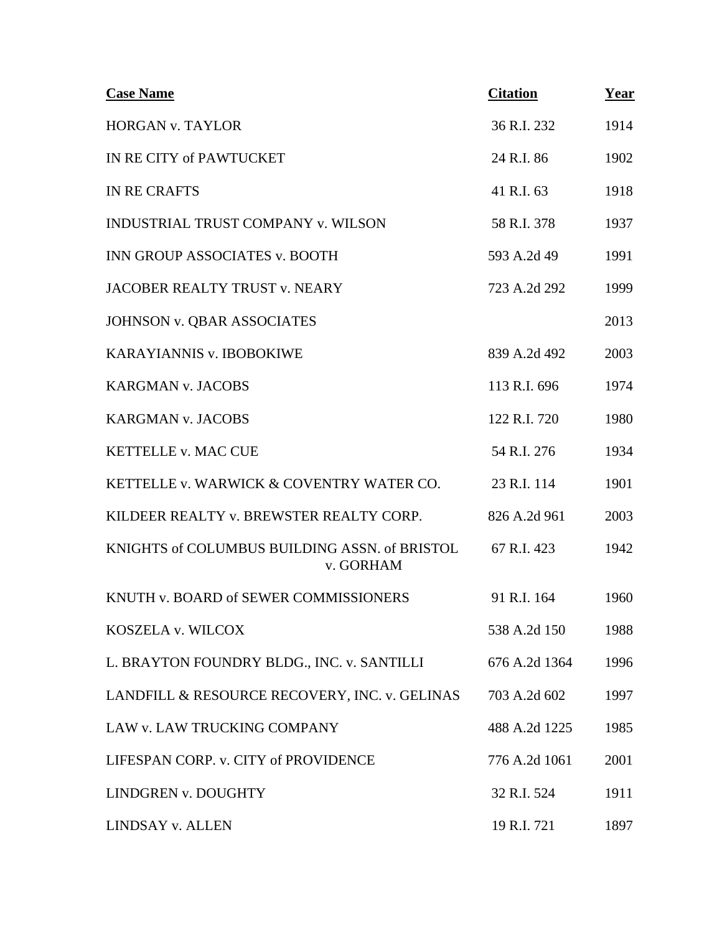| <b>Case Name</b>                                           | <b>Citation</b> | <u>Year</u> |
|------------------------------------------------------------|-----------------|-------------|
| <b>HORGAN v. TAYLOR</b>                                    | 36 R.I. 232     | 1914        |
| IN RE CITY of PAWTUCKET                                    | 24 R.I. 86      | 1902        |
| <b>IN RE CRAFTS</b>                                        | 41 R.I. 63      | 1918        |
| <b>INDUSTRIAL TRUST COMPANY v. WILSON</b>                  | 58 R.I. 378     | 1937        |
| <b>INN GROUP ASSOCIATES v. BOOTH</b>                       | 593 A.2d 49     | 1991        |
| JACOBER REALTY TRUST v. NEARY                              | 723 A.2d 292    | 1999        |
| <b>JOHNSON v. QBAR ASSOCIATES</b>                          |                 | 2013        |
| KARAYIANNIS v. IBOBOKIWE                                   | 839 A.2d 492    | 2003        |
| <b>KARGMAN v. JACOBS</b>                                   | 113 R.I. 696    | 1974        |
| <b>KARGMAN v. JACOBS</b>                                   | 122 R.I. 720    | 1980        |
| <b>KETTELLE v. MAC CUE</b>                                 | 54 R.I. 276     | 1934        |
| KETTELLE v. WARWICK & COVENTRY WATER CO.                   | 23 R.I. 114     | 1901        |
| KILDEER REALTY v. BREWSTER REALTY CORP.                    | 826 A.2d 961    | 2003        |
| KNIGHTS of COLUMBUS BUILDING ASSN. of BRISTOL<br>v. GORHAM | 67 R.I. 423     | 1942        |
| KNUTH v. BOARD of SEWER COMMISSIONERS                      | 91 R.I. 164     | 1960        |
| KOSZELA v. WILCOX                                          | 538 A.2d 150    | 1988        |
| L. BRAYTON FOUNDRY BLDG., INC. v. SANTILLI                 | 676 A.2d 1364   | 1996        |
| LANDFILL & RESOURCE RECOVERY, INC. v. GELINAS              | 703 A.2d 602    | 1997        |
| LAW v. LAW TRUCKING COMPANY                                | 488 A.2d 1225   | 1985        |
| LIFESPAN CORP. v. CITY of PROVIDENCE                       | 776 A.2d 1061   | 2001        |
| LINDGREN v. DOUGHTY                                        | 32 R.I. 524     | 1911        |
| LINDSAY v. ALLEN                                           | 19 R.I. 721     | 1897        |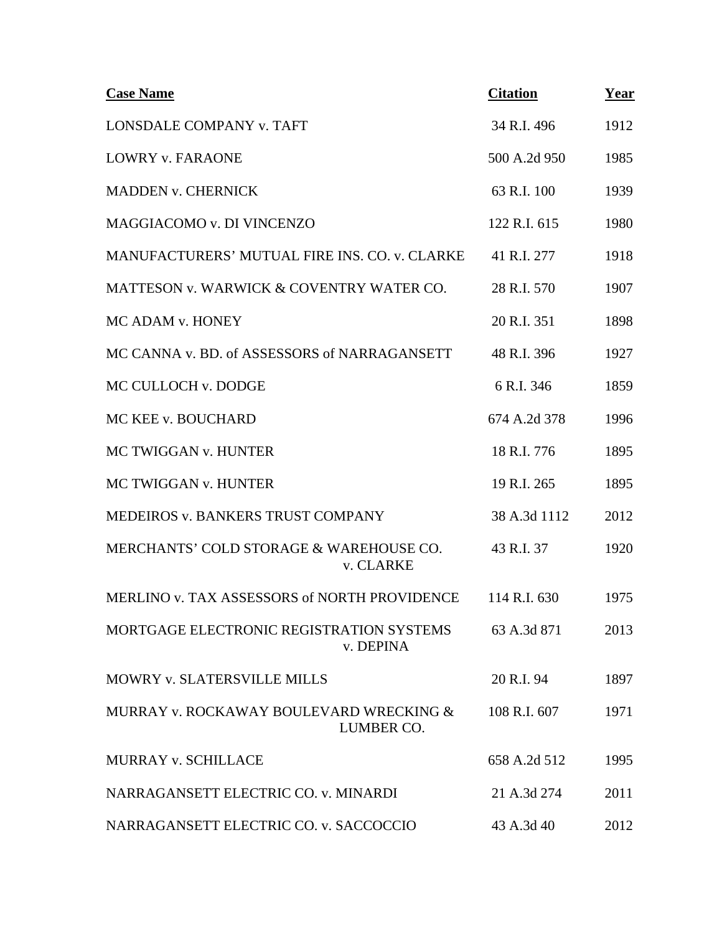| <b>Case Name</b>                                      | <b>Citation</b> | Year |
|-------------------------------------------------------|-----------------|------|
| LONSDALE COMPANY v. TAFT                              | 34 R.I. 496     | 1912 |
| <b>LOWRY v. FARAONE</b>                               | 500 A.2d 950    | 1985 |
| <b>MADDEN v. CHERNICK</b>                             | 63 R.I. 100     | 1939 |
| MAGGIACOMO v. DI VINCENZO                             | 122 R.I. 615    | 1980 |
| MANUFACTURERS' MUTUAL FIRE INS. CO. v. CLARKE         | 41 R.I. 277     | 1918 |
| MATTESON v. WARWICK & COVENTRY WATER CO.              | 28 R.I. 570     | 1907 |
| MC ADAM v. HONEY                                      | 20 R.I. 351     | 1898 |
| MC CANNA v. BD. of ASSESSORS of NARRAGANSETT          | 48 R.I. 396     | 1927 |
| MC CULLOCH v. DODGE                                   | 6 R.I. 346      | 1859 |
| MC KEE v. BOUCHARD                                    | 674 A.2d 378    | 1996 |
| MC TWIGGAN v. HUNTER                                  | 18 R.I. 776     | 1895 |
| MC TWIGGAN v. HUNTER                                  | 19 R.I. 265     | 1895 |
| MEDEIROS v. BANKERS TRUST COMPANY                     | 38 A.3d 1112    | 2012 |
| MERCHANTS' COLD STORAGE & WAREHOUSE CO.<br>v. CLARKE  | 43 R.I. 37      | 1920 |
| MERLINO v. TAX ASSESSORS of NORTH PROVIDENCE          | 114 R.I. 630    | 1975 |
| MORTGAGE ELECTRONIC REGISTRATION SYSTEMS<br>v. DEPINA | 63 A.3d 871     | 2013 |
| MOWRY v. SLATERSVILLE MILLS                           | 20 R.I. 94      | 1897 |
| MURRAY v. ROCKAWAY BOULEVARD WRECKING &<br>LUMBER CO. | 108 R.I. 607    | 1971 |
| MURRAY v. SCHILLACE                                   | 658 A.2d 512    | 1995 |
| NARRAGANSETT ELECTRIC CO. v. MINARDI                  | 21 A.3d 274     | 2011 |
| NARRAGANSETT ELECTRIC CO. v. SACCOCCIO                | 43 A.3d 40      | 2012 |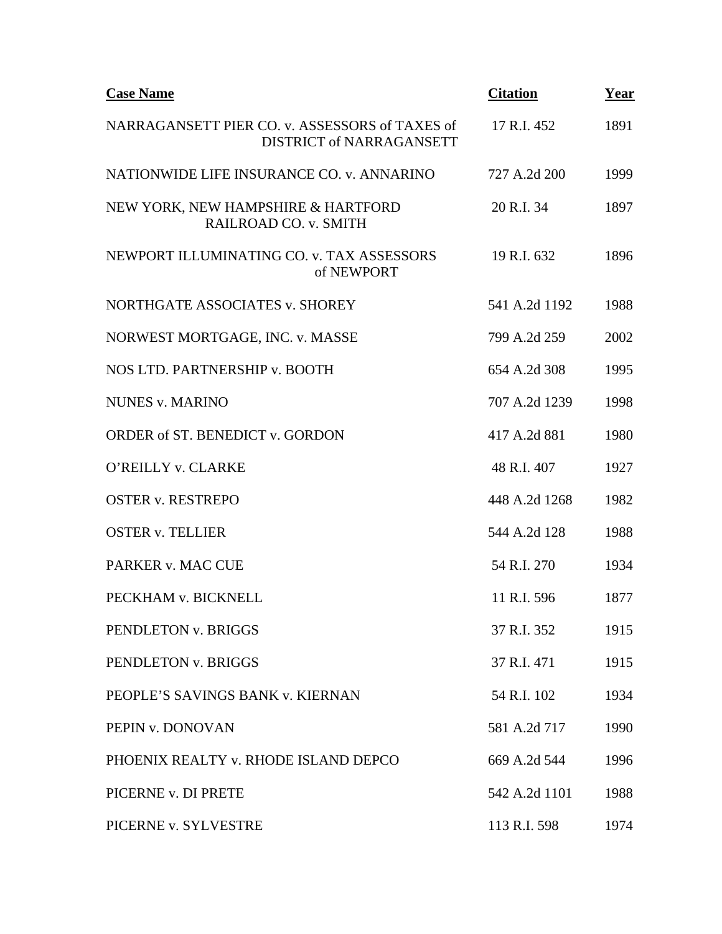| <b>Case Name</b>                                                           | <b>Citation</b> | Year |
|----------------------------------------------------------------------------|-----------------|------|
| NARRAGANSETT PIER CO. v. ASSESSORS of TAXES of<br>DISTRICT of NARRAGANSETT | 17 R.I. 452     | 1891 |
| NATIONWIDE LIFE INSURANCE CO. v. ANNARINO                                  | 727 A.2d 200    | 1999 |
| NEW YORK, NEW HAMPSHIRE & HARTFORD<br>RAILROAD CO. v. SMITH                | 20 R.I. 34      | 1897 |
| NEWPORT ILLUMINATING CO. v. TAX ASSESSORS<br>of NEWPORT                    | 19 R.I. 632     | 1896 |
| NORTHGATE ASSOCIATES v. SHOREY                                             | 541 A.2d 1192   | 1988 |
| NORWEST MORTGAGE, INC. v. MASSE                                            | 799 A.2d 259    | 2002 |
| NOS LTD. PARTNERSHIP v. BOOTH                                              | 654 A.2d 308    | 1995 |
| <b>NUNES v. MARINO</b>                                                     | 707 A.2d 1239   | 1998 |
| ORDER of ST. BENEDICT v. GORDON                                            | 417 A.2d 881    | 1980 |
| O'REILLY v. CLARKE                                                         | 48 R.I. 407     | 1927 |
| <b>OSTER v. RESTREPO</b>                                                   | 448 A.2d 1268   | 1982 |
| <b>OSTER v. TELLIER</b>                                                    | 544 A.2d 128    | 1988 |
| PARKER v. MAC CUE                                                          | 54 R.I. 270     | 1934 |
| PECKHAM v. BICKNELL                                                        | 11 R.I. 596     | 1877 |
| PENDLETON v. BRIGGS                                                        | 37 R.I. 352     | 1915 |
| PENDLETON v. BRIGGS                                                        | 37 R.I. 471     | 1915 |
| PEOPLE'S SAVINGS BANK v. KIERNAN                                           | 54 R.I. 102     | 1934 |
| PEPIN v. DONOVAN                                                           | 581 A.2d 717    | 1990 |
| PHOENIX REALTY v. RHODE ISLAND DEPCO                                       | 669 A.2d 544    | 1996 |
| PICERNE v. DI PRETE                                                        | 542 A.2d 1101   | 1988 |
| PICERNE v. SYLVESTRE                                                       | 113 R.I. 598    | 1974 |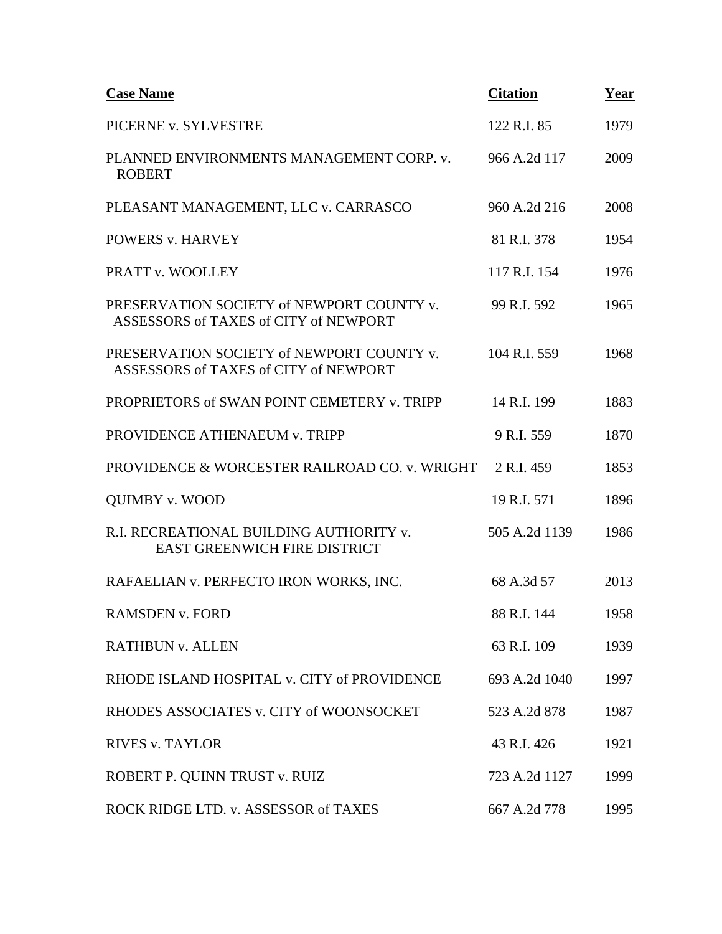| <b>Case Name</b>                                                                   | <b>Citation</b> | Year |
|------------------------------------------------------------------------------------|-----------------|------|
| PICERNE v. SYLVESTRE                                                               | 122 R.I. 85     | 1979 |
| PLANNED ENVIRONMENTS MANAGEMENT CORP. v.<br><b>ROBERT</b>                          | 966 A.2d 117    | 2009 |
| PLEASANT MANAGEMENT, LLC v. CARRASCO                                               | 960 A.2d 216    | 2008 |
| <b>POWERS v. HARVEY</b>                                                            | 81 R.I. 378     | 1954 |
| PRATT v. WOOLLEY                                                                   | 117 R.I. 154    | 1976 |
| PRESERVATION SOCIETY of NEWPORT COUNTY v.<br>ASSESSORS of TAXES of CITY of NEWPORT | 99 R.I. 592     | 1965 |
| PRESERVATION SOCIETY of NEWPORT COUNTY v.<br>ASSESSORS of TAXES of CITY of NEWPORT | 104 R.I. 559    | 1968 |
| PROPRIETORS of SWAN POINT CEMETERY v. TRIPP                                        | 14 R.I. 199     | 1883 |
| PROVIDENCE ATHENAEUM v. TRIPP                                                      | 9 R.I. 559      | 1870 |
| PROVIDENCE & WORCESTER RAILROAD CO. v. WRIGHT                                      | 2 R.I. 459      | 1853 |
| <b>QUIMBY v. WOOD</b>                                                              | 19 R.I. 571     | 1896 |
| R.I. RECREATIONAL BUILDING AUTHORITY v.<br><b>EAST GREENWICH FIRE DISTRICT</b>     | 505 A.2d 1139   | 1986 |
| RAFAELIAN v. PERFECTO IRON WORKS, INC.                                             | 68 A.3d 57      | 2013 |
| <b>RAMSDEN v. FORD</b>                                                             | 88 R.I. 144     | 1958 |
| <b>RATHBUN v. ALLEN</b>                                                            | 63 R.I. 109     | 1939 |
| RHODE ISLAND HOSPITAL v. CITY of PROVIDENCE                                        | 693 A.2d 1040   | 1997 |
| RHODES ASSOCIATES v. CITY of WOONSOCKET                                            | 523 A.2d 878    | 1987 |
| <b>RIVES v. TAYLOR</b>                                                             | 43 R.I. 426     | 1921 |
| ROBERT P. QUINN TRUST v. RUIZ                                                      | 723 A.2d 1127   | 1999 |
| ROCK RIDGE LTD. v. ASSESSOR of TAXES                                               | 667 A.2d 778    | 1995 |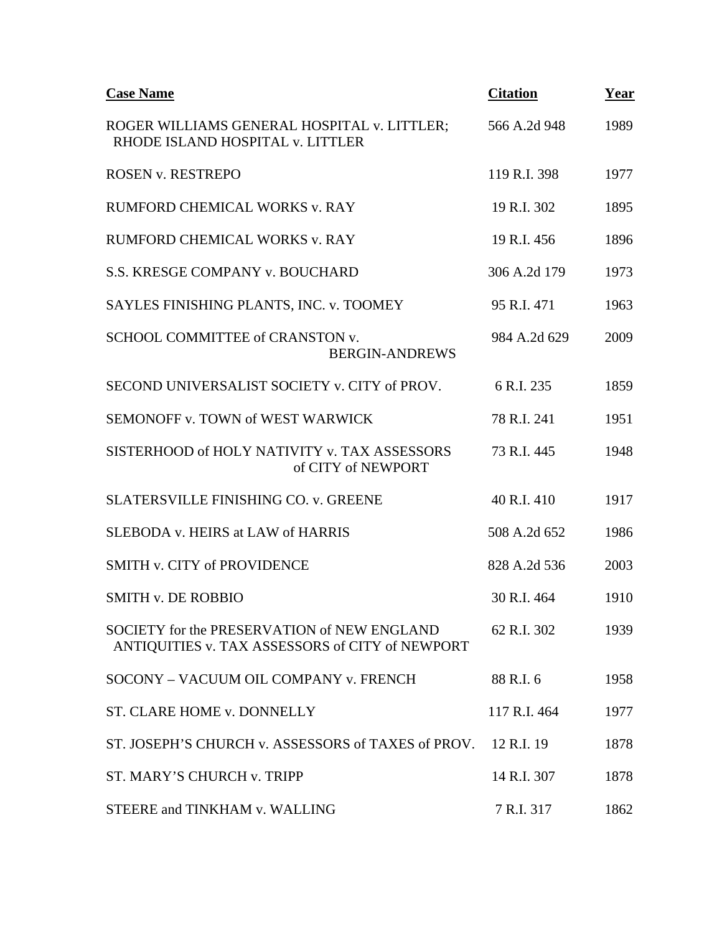| <b>Case Name</b>                                                                               | <b>Citation</b> | Year |
|------------------------------------------------------------------------------------------------|-----------------|------|
| ROGER WILLIAMS GENERAL HOSPITAL v. LITTLER;<br>RHODE ISLAND HOSPITAL v. LITTLER                | 566 A.2d 948    | 1989 |
| <b>ROSEN v. RESTREPO</b>                                                                       | 119 R.I. 398    | 1977 |
| RUMFORD CHEMICAL WORKS v. RAY                                                                  | 19 R.I. 302     | 1895 |
| RUMFORD CHEMICAL WORKS v. RAY                                                                  | 19 R.I. 456     | 1896 |
| S.S. KRESGE COMPANY v. BOUCHARD                                                                | 306 A.2d 179    | 1973 |
| SAYLES FINISHING PLANTS, INC. v. TOOMEY                                                        | 95 R.I. 471     | 1963 |
| SCHOOL COMMITTEE of CRANSTON v.<br><b>BERGIN-ANDREWS</b>                                       | 984 A.2d 629    | 2009 |
| SECOND UNIVERSALIST SOCIETY v. CITY of PROV.                                                   | 6 R.I. 235      | 1859 |
| SEMONOFF v. TOWN of WEST WARWICK                                                               | 78 R.I. 241     | 1951 |
| SISTERHOOD of HOLY NATIVITY v. TAX ASSESSORS<br>of CITY of NEWPORT                             | 73 R.I. 445     | 1948 |
| <b>SLATERSVILLE FINISHING CO. v. GREENE</b>                                                    | 40 R.I. 410     | 1917 |
| SLEBODA v. HEIRS at LAW of HARRIS                                                              | 508 A.2d 652    | 1986 |
| <b>SMITH v. CITY of PROVIDENCE</b>                                                             | 828 A.2d 536    | 2003 |
| <b>SMITH v. DE ROBBIO</b>                                                                      | 30 R.I. 464     | 1910 |
| SOCIETY for the PRESERVATION of NEW ENGLAND<br>ANTIQUITIES v. TAX ASSESSORS of CITY of NEWPORT | 62 R.I. 302     | 1939 |
| SOCONY - VACUUM OIL COMPANY v. FRENCH                                                          | 88 R.I. 6       | 1958 |
| ST. CLARE HOME v. DONNELLY                                                                     | 117 R.I. 464    | 1977 |
| ST. JOSEPH'S CHURCH v. ASSESSORS of TAXES of PROV.                                             | 12 R.I. 19      | 1878 |
| ST. MARY'S CHURCH v. TRIPP                                                                     | 14 R.I. 307     | 1878 |
| STEERE and TINKHAM v. WALLING                                                                  | 7 R.I. 317      | 1862 |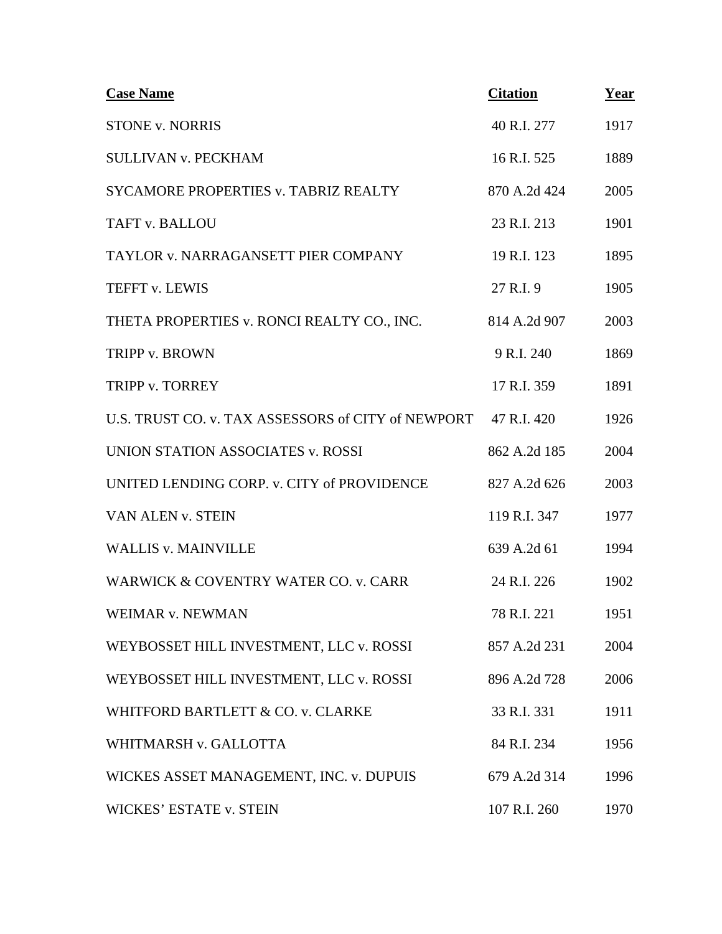| <b>Case Name</b>                                   | <b>Citation</b> | Year |
|----------------------------------------------------|-----------------|------|
| <b>STONE v. NORRIS</b>                             | 40 R.I. 277     | 1917 |
| <b>SULLIVAN v. PECKHAM</b>                         | 16 R.I. 525     | 1889 |
| <b>SYCAMORE PROPERTIES v. TABRIZ REALTY</b>        | 870 A.2d 424    | 2005 |
| TAFT v. BALLOU                                     | 23 R.I. 213     | 1901 |
| TAYLOR v. NARRAGANSETT PIER COMPANY                | 19 R.I. 123     | 1895 |
| TEFFT v. LEWIS                                     | 27 R.I. 9       | 1905 |
| THETA PROPERTIES v. RONCI REALTY CO., INC.         | 814 A.2d 907    | 2003 |
| TRIPP v. BROWN                                     | 9 R.I. 240      | 1869 |
| TRIPP v. TORREY                                    | 17 R.I. 359     | 1891 |
| U.S. TRUST CO. v. TAX ASSESSORS of CITY of NEWPORT | 47 R.I. 420     | 1926 |
| UNION STATION ASSOCIATES v. ROSSI                  | 862 A.2d 185    | 2004 |
| UNITED LENDING CORP. v. CITY of PROVIDENCE         | 827 A.2d 626    | 2003 |
| VAN ALEN v. STEIN                                  | 119 R.I. 347    | 1977 |
| <b>WALLIS v. MAINVILLE</b>                         | 639 A.2d 61     | 1994 |
| WARWICK & COVENTRY WATER CO. v. CARR               | 24 R.I. 226     | 1902 |
| <b>WEIMAR v. NEWMAN</b>                            | 78 R.I. 221     | 1951 |
| WEYBOSSET HILL INVESTMENT, LLC v. ROSSI            | 857 A.2d 231    | 2004 |
| WEYBOSSET HILL INVESTMENT, LLC v. ROSSI            | 896 A.2d 728    | 2006 |
| WHITFORD BARTLETT & CO. v. CLARKE                  | 33 R.I. 331     | 1911 |
| WHITMARSH v. GALLOTTA                              | 84 R.I. 234     | 1956 |
| WICKES ASSET MANAGEMENT, INC. v. DUPUIS            | 679 A.2d 314    | 1996 |
| <b>WICKES' ESTATE v. STEIN</b>                     | 107 R.I. 260    | 1970 |